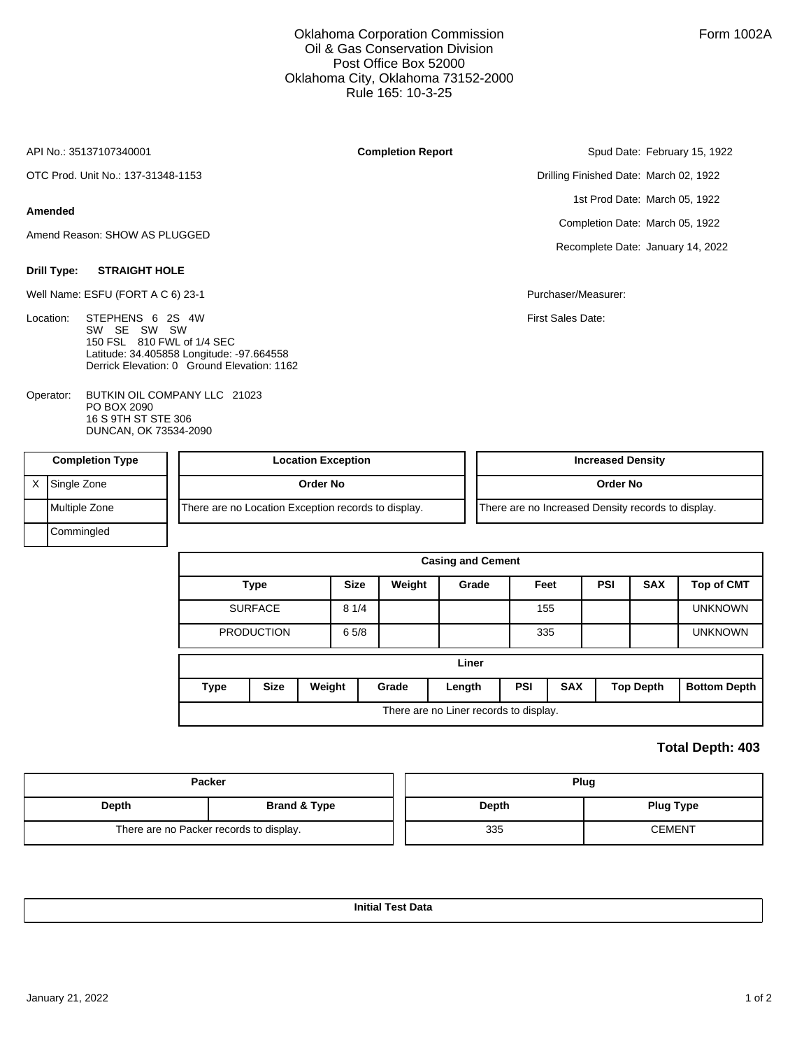Oklahoma Corporation Commission Oil & Gas Conservation Division Post Office Box 52000 Oklahoma City, Oklahoma 73152-2000 Rule 165: 10-3-25

**Completion Report**

API No.: 35137107340001

OTC Prod. Unit No.: 137-31348-1153

## **Amended**

Amend Reason: SHOW AS PLUGGED

## **Drill Type: STRAIGHT HOLE**

Well Name: ESFU (FORT A C 6) 23-1 **Purchaser/Measurer:** Purchaser/Measurer:

- Location: STEPHENS 6 2S 4W SW SE SW SW 150 FSL 810 FWL of 1/4 SEC Latitude: 34.405858 Longitude: -97.664558 Derrick Elevation: 0 Ground Elevation: 1162
- BUTKIN OIL COMPANY LLC 21023 PO BOX 2090 16 S 9TH ST STE 306 DUNCAN, OK 73534-2090 Operator:

Spud Date: February 15, 1922

Drilling Finished Date: March 02, 1922 1st Prod Date: March 05, 1922 Completion Date: March 05, 1922 Recomplete Date: January 14, 2022

First Sales Date:

| <b>Completion Type</b> | <b>Location Exception</b>                           | <b>Increased Density</b>                           |
|------------------------|-----------------------------------------------------|----------------------------------------------------|
| Single Zone            | Order No                                            | Order No                                           |
| Multiple Zone          | There are no Location Exception records to display. | There are no Increased Density records to display. |
| Commingled             |                                                     |                                                    |

|             |                       |             |        | <b>Casing and Cement</b>               |            |            |     |                  |                     |  |
|-------------|-----------------------|-------------|--------|----------------------------------------|------------|------------|-----|------------------|---------------------|--|
|             | <b>Type</b>           | <b>Size</b> | Weight | Grade                                  |            | Feet       | PSI | <b>SAX</b>       | <b>Top of CMT</b>   |  |
|             | <b>SURFACE</b>        | 81/4        |        |                                        |            | 155        |     |                  | <b>UNKNOWN</b>      |  |
|             | <b>PRODUCTION</b>     | 65/8        |        |                                        |            | 335        |     |                  | <b>UNKNOWN</b>      |  |
|             |                       |             |        | Liner                                  |            |            |     |                  |                     |  |
| <b>Type</b> | <b>Size</b><br>Weight |             | Grade  | Length                                 | <b>PSI</b> | <b>SAX</b> |     | <b>Top Depth</b> | <b>Bottom Depth</b> |  |
|             |                       |             |        | There are no Liner records to display. |            |            |     |                  |                     |  |

## **Total Depth: 403**

|       | <b>Packer</b>                           | Plug  |                  |  |  |  |  |
|-------|-----------------------------------------|-------|------------------|--|--|--|--|
| Depth | Brand & Type                            | Depth | <b>Plug Type</b> |  |  |  |  |
|       | There are no Packer records to display. | 335   | <b>CEMENT</b>    |  |  |  |  |

**Initial Test Data**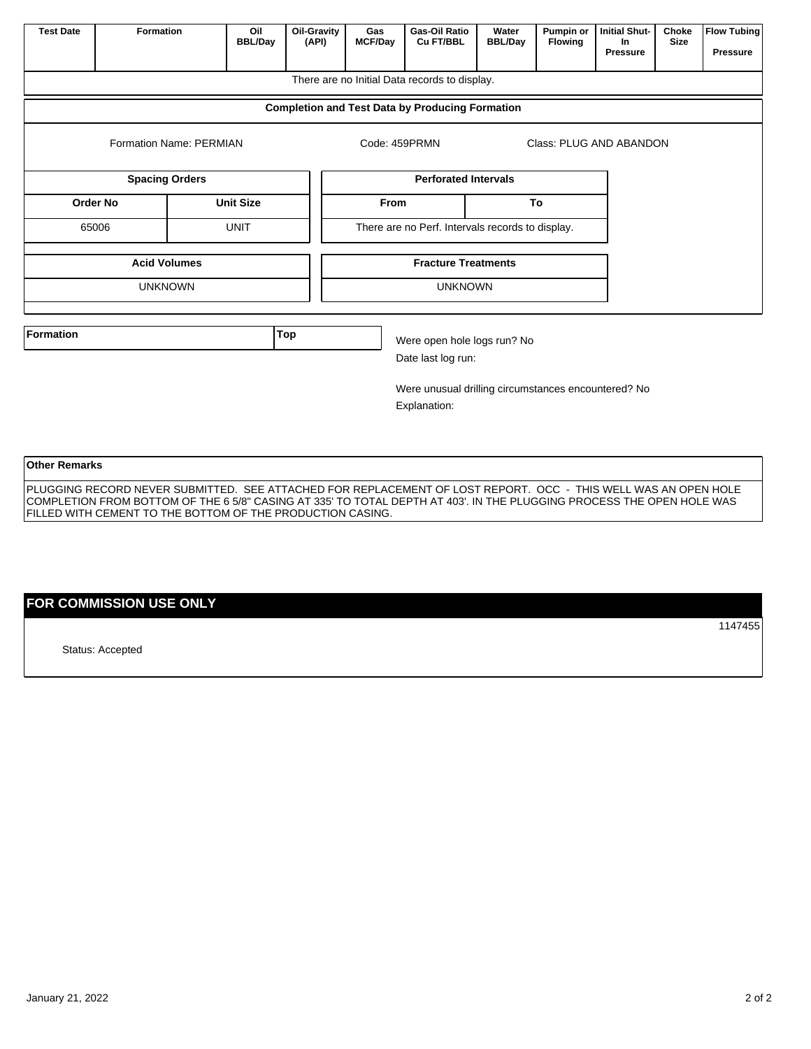| <b>Test Date</b>     | <b>Formation</b><br>Oil<br><b>Oil-Gravity</b><br><b>BBL/Day</b><br>(API)                                       |                  |     | <b>Gas-Oil Ratio</b><br>Gas<br><b>MCF/Day</b><br>Cu FT/BBL |               | Water<br><b>BBL/Day</b>                                             | Pumpin or<br><b>Flowing</b> | <b>Initial Shut-</b><br>In.<br>Pressure | Choke<br><b>Size</b> | <b>Flow Tubing</b><br><b>Pressure</b> |  |
|----------------------|----------------------------------------------------------------------------------------------------------------|------------------|-----|------------------------------------------------------------|---------------|---------------------------------------------------------------------|-----------------------------|-----------------------------------------|----------------------|---------------------------------------|--|
|                      |                                                                                                                |                  |     |                                                            |               | There are no Initial Data records to display.                       |                             |                                         |                      |                                       |  |
|                      |                                                                                                                |                  |     |                                                            |               | <b>Completion and Test Data by Producing Formation</b>              |                             |                                         |                      |                                       |  |
|                      | Formation Name: PERMIAN                                                                                        |                  |     |                                                            | Code: 459PRMN |                                                                     | Class: PLUG AND ABANDON     |                                         |                      |                                       |  |
|                      | <b>Spacing Orders</b>                                                                                          |                  |     |                                                            |               | <b>Perforated Intervals</b>                                         |                             |                                         |                      |                                       |  |
| <b>Order No</b>      |                                                                                                                | <b>Unit Size</b> |     |                                                            | <b>From</b>   |                                                                     |                             | To                                      |                      |                                       |  |
| 65006<br><b>UNIT</b> |                                                                                                                |                  |     |                                                            |               | There are no Perf. Intervals records to display.                    |                             |                                         |                      |                                       |  |
|                      | <b>Acid Volumes</b>                                                                                            |                  |     |                                                            |               | <b>Fracture Treatments</b>                                          |                             |                                         |                      |                                       |  |
|                      | <b>UNKNOWN</b>                                                                                                 |                  |     |                                                            |               | <b>UNKNOWN</b>                                                      |                             |                                         |                      |                                       |  |
| <b>Formation</b>     |                                                                                                                |                  | Top |                                                            |               | Were open hole logs run? No<br>Date last log run:                   |                             |                                         |                      |                                       |  |
|                      |                                                                                                                |                  |     |                                                            |               | Were unusual drilling circumstances encountered? No<br>Explanation: |                             |                                         |                      |                                       |  |
| <b>Other Remarks</b> | PLUGGING RECORD NEVER SUBMITTED. SEE ATTACHED FOR REPLACEMENT OF LOST REPORT. OCC - THIS WELL WAS AN OPEN HOLE |                  |     |                                                            |               |                                                                     |                             |                                         |                      |                                       |  |

COMPLETION FROM BOTTOM OF THE 6 5/8" CASING AT 335' TO TOTAL DEPTH AT 403'. IN THE PLUGGING PROCESS THE OPEN HOLE WAS

**FOR COMMISSION USE ONLY**

FILLED WITH CEMENT TO THE BOTTOM OF THE PRODUCTION CASING.

Status: Accepted

January 21, 2022 2012

1147455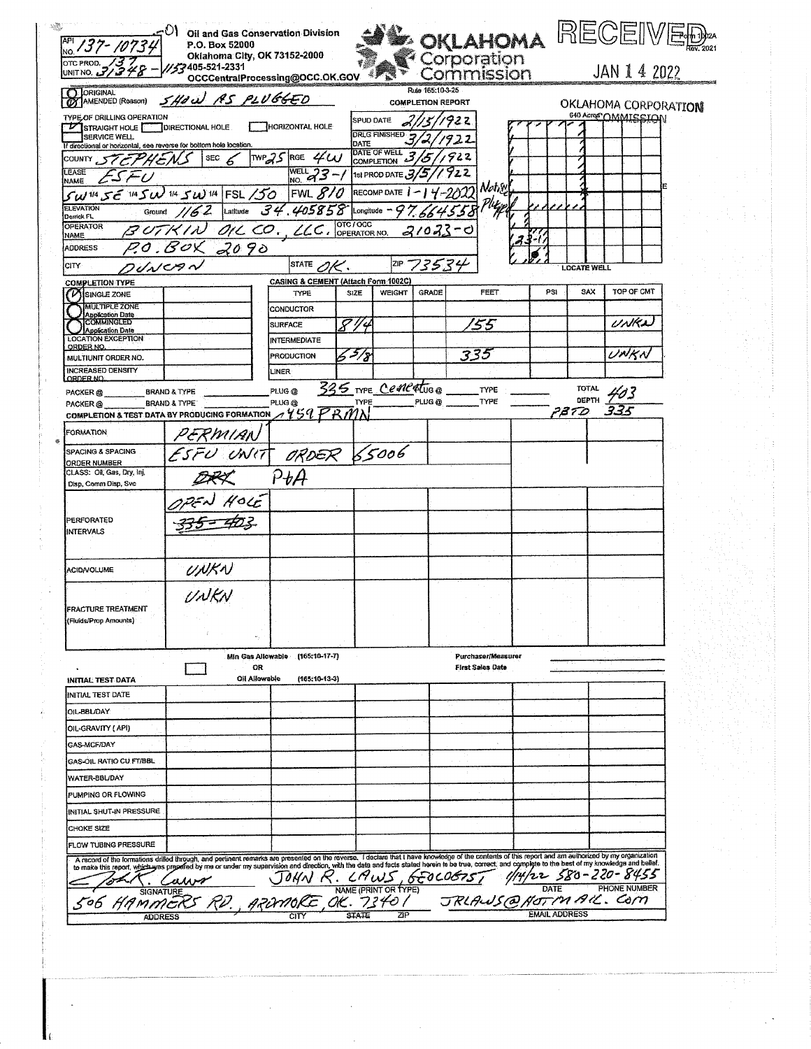| API 137-1073                                                                                                            | $\in$ $\circ$ $\circ$ $\circ$ oil and Gas Conservation Division<br>P.O. Box 52000                                                                                                                                                 |                                       |                     |                      |                                              | <b>OKLAHOMA</b>           |                      |                              | RECEIVEE                                    |  |
|-------------------------------------------------------------------------------------------------------------------------|-----------------------------------------------------------------------------------------------------------------------------------------------------------------------------------------------------------------------------------|---------------------------------------|---------------------|----------------------|----------------------------------------------|---------------------------|----------------------|------------------------------|---------------------------------------------|--|
| OTC PROD. 137                                                                                                           | Oklahoma City, OK 73152-2000<br>732405-521-2331/                                                                                                                                                                                  | OCCCentralProcessing@OCC.OK.GOV       |                     |                      |                                              | Corporation<br>Commission |                      |                              | JAN 1 4 2022                                |  |
| <b>CT LORIGINAL</b><br><b>AMENDED</b> (Reason)                                                                          | SHOW AS PLUGGED                                                                                                                                                                                                                   |                                       |                     |                      | Rule 165:10-3-25<br><b>COMPLETION REPORT</b> |                           |                      |                              |                                             |  |
| TYPE OF DRILLING OPERATION                                                                                              |                                                                                                                                                                                                                                   |                                       | SPUD DATE           |                      |                                              |                           |                      |                              | OKLAHOMA CORPORATION<br>640 Acres OMMISSION |  |
| V STRAIGHT HOLE DIRECTIONAL HOLE<br><b>SERVICE WELL</b>                                                                 |                                                                                                                                                                                                                                   | HORIZONTAL HOLE                       |                     | <b>DRLG FINISHED</b> |                                              | 92 Z                      |                      |                              |                                             |  |
| If directional or honzontal, see reverse for bottom hole location.                                                      |                                                                                                                                                                                                                                   |                                       | DATE                |                      |                                              |                           |                      |                              |                                             |  |
| COUNTY STEPHENS                                                                                                         | SEC $6$                                                                                                                                                                                                                           | TWP25 RGE $4\omega$                   |                     | DATE OF WELL 3       |                                              |                           |                      |                              |                                             |  |
| LEASE<br>ESFU<br><b>NAME</b>                                                                                            |                                                                                                                                                                                                                                   | $\frac{\text{WELL}}{\text{NO}}$ 23 -/ |                     | 1st PROD DATE 3/5    |                                              |                           |                      |                              |                                             |  |
| $SW1/455$ 1/4 $SW1/45$ W 1/4 FSL /50                                                                                    |                                                                                                                                                                                                                                   | FWL $810$                             |                     | <b>RECOMP DATE  </b> |                                              | Notice                    |                      |                              |                                             |  |
| <b>ELEVATION</b><br>34.405858<br>Ground $/62$ Latitude<br>Longitude ~<br>Denick FL                                      |                                                                                                                                                                                                                                   |                                       |                     |                      |                                              |                           |                      |                              |                                             |  |
| <b>OPERATOR</b><br><b>NAME</b>                                                                                          | BUTKIN OIL CO., LLC. OPERATOR NO.                                                                                                                                                                                                 |                                       |                     |                      | $21023 - 0$                                  |                           |                      |                              |                                             |  |
| <b>ADDRESS</b>                                                                                                          | P.O. BOX 2090                                                                                                                                                                                                                     |                                       |                     |                      |                                              |                           |                      |                              |                                             |  |
| <b>CITY</b>                                                                                                             | フィトレヒタベ                                                                                                                                                                                                                           | STATE $\mathscr{O}\!\!\mathscr{K}.$   |                     |                      | 2IP 73534                                    |                           |                      | <b>LOCATE WELL</b>           |                                             |  |
| <b>COMPLETION TYPE</b>                                                                                                  |                                                                                                                                                                                                                                   | CASING & CEMENT (Attach Form 1002C)   |                     |                      |                                              |                           |                      |                              |                                             |  |
| <b>VISINGLE ZONE</b>                                                                                                    |                                                                                                                                                                                                                                   | TYPE                                  | <b>SIZE</b>         | <b>WEIGHT</b>        | GRADE                                        | <b>FEET</b>               | PSI                  | SAX                          | TOP OF CMT                                  |  |
| <b>MULTIPLE ZONE</b><br><b>Application Date</b>                                                                         |                                                                                                                                                                                                                                   | CONDUCTOR                             |                     |                      |                                              |                           |                      |                              |                                             |  |
| COMMINGLED<br><b>Application Date</b>                                                                                   |                                                                                                                                                                                                                                   | <b>SURFACE</b>                        | 844                 |                      |                                              | '55                       |                      |                              | UNKA                                        |  |
| <b>LOCATION EXCEPTION</b><br>ORDER NO.                                                                                  |                                                                                                                                                                                                                                   | <b>INTERMEDIATE</b>                   |                     |                      |                                              |                           |                      |                              |                                             |  |
| MULTIUNIT ORDER NO.                                                                                                     |                                                                                                                                                                                                                                   | PRODUCTION                            | $5 - 78$            |                      |                                              | 335                       |                      |                              | UNKN                                        |  |
| <b>INCREASED DENSITY</b><br>ORDER NO.                                                                                   |                                                                                                                                                                                                                                   | LINER                                 |                     |                      |                                              |                           |                      |                              |                                             |  |
| PACKER <sub>®</sub>                                                                                                     | <b>BRAND &amp; TYPE</b>                                                                                                                                                                                                           | PLUG <sub>@</sub>                     | 335 TYPE Centertuge |                      |                                              | <b>TYPE</b>               |                      | <b>TOTAL</b><br><b>DEPTH</b> | 403                                         |  |
| <b>PACKER@</b><br>COMPLETION & TEST DATA BY PRODUCING FORMATION $\mathcal{A}$ $\mathcal{V}$ $\mathcal{G}$ $\mathcal{P}$ | <b>BRAND &amp; TYPE</b>                                                                                                                                                                                                           | PLUG <sub>®</sub>                     | TYPE                |                      | PLUG @                                       | TYPE                      |                      | 78.TD                        |                                             |  |
|                                                                                                                         |                                                                                                                                                                                                                                   |                                       |                     |                      |                                              |                           |                      |                              |                                             |  |
| <b>FORMATION</b>                                                                                                        | UERMIAN                                                                                                                                                                                                                           |                                       |                     |                      |                                              |                           |                      |                              |                                             |  |
| SPACING & SPACING<br>ORDER NUMBER                                                                                       | ESFU UNIT ORDER 65006                                                                                                                                                                                                             |                                       |                     |                      |                                              |                           |                      |                              |                                             |  |
| CLASS: Oil, Gas, Dry, Inj,                                                                                              |                                                                                                                                                                                                                                   | P t A                                 |                     |                      |                                              |                           |                      |                              |                                             |  |
| Disp, Comm Disp, Svc                                                                                                    |                                                                                                                                                                                                                                   |                                       |                     |                      |                                              |                           |                      |                              |                                             |  |
|                                                                                                                         | $H$ ole                                                                                                                                                                                                                           |                                       |                     |                      |                                              |                           |                      |                              |                                             |  |
| PERFORATED                                                                                                              |                                                                                                                                                                                                                                   |                                       |                     |                      |                                              |                           |                      |                              |                                             |  |
| <b>INTERVALS</b>                                                                                                        |                                                                                                                                                                                                                                   |                                       |                     |                      |                                              |                           |                      |                              |                                             |  |
|                                                                                                                         |                                                                                                                                                                                                                                   |                                       |                     |                      |                                              |                           |                      |                              |                                             |  |
| <b>ACID/VOLUME</b>                                                                                                      | UNKN<br>UNKN                                                                                                                                                                                                                      |                                       |                     |                      |                                              |                           |                      |                              |                                             |  |
|                                                                                                                         |                                                                                                                                                                                                                                   |                                       |                     |                      |                                              |                           |                      |                              |                                             |  |
| <b>FRACTURE TREATMENT</b>                                                                                               |                                                                                                                                                                                                                                   |                                       |                     |                      |                                              |                           |                      |                              |                                             |  |
| (Fluids/Prop Amounts)                                                                                                   |                                                                                                                                                                                                                                   |                                       |                     |                      |                                              |                           |                      |                              |                                             |  |
|                                                                                                                         |                                                                                                                                                                                                                                   |                                       |                     |                      |                                              |                           |                      |                              |                                             |  |
|                                                                                                                         |                                                                                                                                                                                                                                   | Min Gas Allowable<br>$(165:10-17-T)$  |                     |                      |                                              | Purchaser/Measurer        |                      |                              |                                             |  |
|                                                                                                                         |                                                                                                                                                                                                                                   | OR                                    |                     |                      |                                              | <b>First Sales Date</b>   |                      |                              |                                             |  |
| INITIAL TEST DATA                                                                                                       |                                                                                                                                                                                                                                   | Oil Allowable<br>$(165.10 - 13 - 3)$  |                     |                      |                                              |                           |                      |                              |                                             |  |
| INITIAL TEST DATE                                                                                                       |                                                                                                                                                                                                                                   |                                       |                     |                      |                                              |                           |                      |                              |                                             |  |
| OIL-BBL/DAY                                                                                                             |                                                                                                                                                                                                                                   |                                       |                     |                      |                                              |                           |                      |                              |                                             |  |
| OIL-GRAVITY ( API)                                                                                                      |                                                                                                                                                                                                                                   |                                       |                     |                      |                                              |                           |                      |                              |                                             |  |
| GAS-MCF/DAY                                                                                                             |                                                                                                                                                                                                                                   |                                       |                     |                      |                                              |                           |                      |                              |                                             |  |
| <b>GAS-OIL RATIO CU FT/BBL</b>                                                                                          |                                                                                                                                                                                                                                   |                                       |                     |                      |                                              |                           |                      |                              |                                             |  |
| WATER-BBL/DAY                                                                                                           |                                                                                                                                                                                                                                   |                                       |                     |                      |                                              |                           |                      |                              |                                             |  |
| PUMPING OR FLOWING                                                                                                      |                                                                                                                                                                                                                                   |                                       |                     |                      |                                              |                           |                      |                              |                                             |  |
| INITIAL SHUT-IN PRESSURE                                                                                                |                                                                                                                                                                                                                                   |                                       |                     |                      |                                              |                           |                      |                              |                                             |  |
| CHOKE SIZE                                                                                                              |                                                                                                                                                                                                                                   |                                       |                     |                      |                                              |                           |                      |                              |                                             |  |
| <b>FLOW TUBING PRESSURE</b>                                                                                             |                                                                                                                                                                                                                                   |                                       |                     |                      |                                              |                           |                      |                              |                                             |  |
|                                                                                                                         | A record of the formations drilled through, and perturent remarks are presented on the reverse. I declare that it have knowledge of the contents of this report and am authorized by my organization<br>to make this report, whic |                                       |                     |                      |                                              |                           |                      |                              |                                             |  |
|                                                                                                                         |                                                                                                                                                                                                                                   |                                       |                     |                      |                                              |                           |                      |                              |                                             |  |
|                                                                                                                         |                                                                                                                                                                                                                                   |                                       |                     |                      |                                              |                           |                      |                              |                                             |  |
|                                                                                                                         |                                                                                                                                                                                                                                   |                                       |                     |                      |                                              |                           | <b>EMAIL ADDRESS</b> |                              |                                             |  |

 $\hat{\mathcal{A}}$ 

 $\frac{1}{3}$